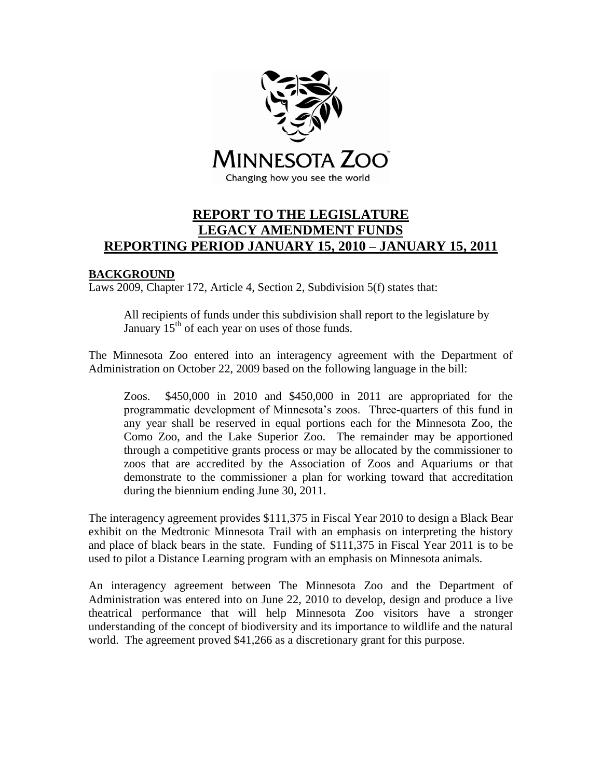

# **REPORT TO THE LEGISLATURE LEGACY AMENDMENT FUNDS REPORTING PERIOD JANUARY 15, 2010 – JANUARY 15, 2011**

### **BACKGROUND**

Laws 2009, Chapter 172, Article 4, Section 2, Subdivision 5(f) states that:

All recipients of funds under this subdivision shall report to the legislature by January  $15<sup>th</sup>$  of each year on uses of those funds.

The Minnesota Zoo entered into an interagency agreement with the Department of Administration on October 22, 2009 based on the following language in the bill:

Zoos. \$450,000 in 2010 and \$450,000 in 2011 are appropriated for the programmatic development of Minnesota's zoos. Three-quarters of this fund in any year shall be reserved in equal portions each for the Minnesota Zoo, the Como Zoo, and the Lake Superior Zoo. The remainder may be apportioned through a competitive grants process or may be allocated by the commissioner to zoos that are accredited by the Association of Zoos and Aquariums or that demonstrate to the commissioner a plan for working toward that accreditation during the biennium ending June 30, 2011.

The interagency agreement provides \$111,375 in Fiscal Year 2010 to design a Black Bear exhibit on the Medtronic Minnesota Trail with an emphasis on interpreting the history and place of black bears in the state. Funding of \$111,375 in Fiscal Year 2011 is to be used to pilot a Distance Learning program with an emphasis on Minnesota animals.

An interagency agreement between The Minnesota Zoo and the Department of Administration was entered into on June 22, 2010 to develop, design and produce a live theatrical performance that will help Minnesota Zoo visitors have a stronger understanding of the concept of biodiversity and its importance to wildlife and the natural world. The agreement proved \$41,266 as a discretionary grant for this purpose.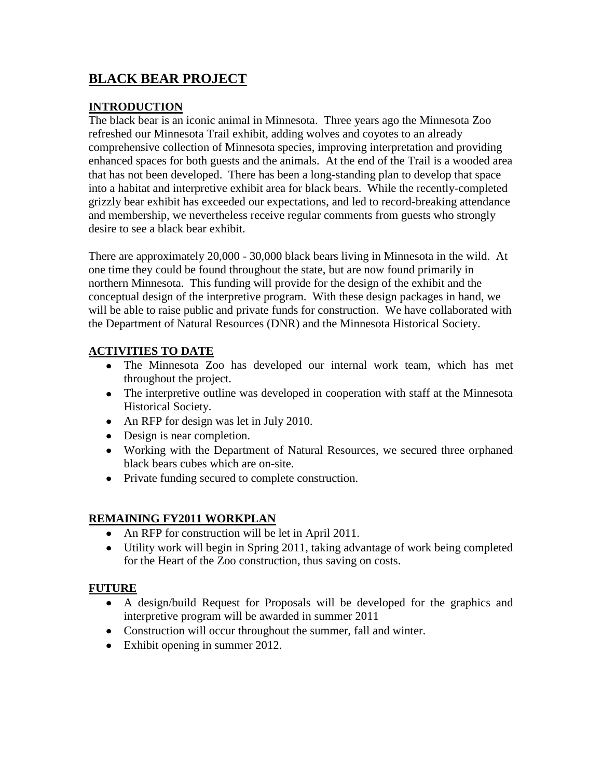# **BLACK BEAR PROJECT**

## **INTRODUCTION**

The black bear is an iconic animal in Minnesota. Three years ago the Minnesota Zoo refreshed our Minnesota Trail exhibit, adding wolves and coyotes to an already comprehensive collection of Minnesota species, improving interpretation and providing enhanced spaces for both guests and the animals. At the end of the Trail is a wooded area that has not been developed. There has been a long-standing plan to develop that space into a habitat and interpretive exhibit area for black bears. While the recently-completed grizzly bear exhibit has exceeded our expectations, and led to record-breaking attendance and membership, we nevertheless receive regular comments from guests who strongly desire to see a black bear exhibit.

There are approximately 20,000 - 30,000 black bears living in Minnesota in the wild. At one time they could be found throughout the state, but are now found primarily in northern Minnesota. This funding will provide for the design of the exhibit and the conceptual design of the interpretive program. With these design packages in hand, we will be able to raise public and private funds for construction. We have collaborated with the Department of Natural Resources (DNR) and the Minnesota Historical Society.

# **ACTIVITIES TO DATE**

- The Minnesota Zoo has developed our internal work team, which has met throughout the project.
- The interpretive outline was developed in cooperation with staff at the Minnesota Historical Society.
- An RFP for design was let in July 2010.
- Design is near completion.
- Working with the Department of Natural Resources, we secured three orphaned black bears cubes which are on-site.
- Private funding secured to complete construction.

### **REMAINING FY2011 WORKPLAN**

- An RFP for construction will be let in April 2011.
- Utility work will begin in Spring 2011, taking advantage of work being completed for the Heart of the Zoo construction, thus saving on costs.

### **FUTURE**

- A design/build Request for Proposals will be developed for the graphics and interpretive program will be awarded in summer 2011
- Construction will occur throughout the summer, fall and winter.
- Exhibit opening in summer 2012.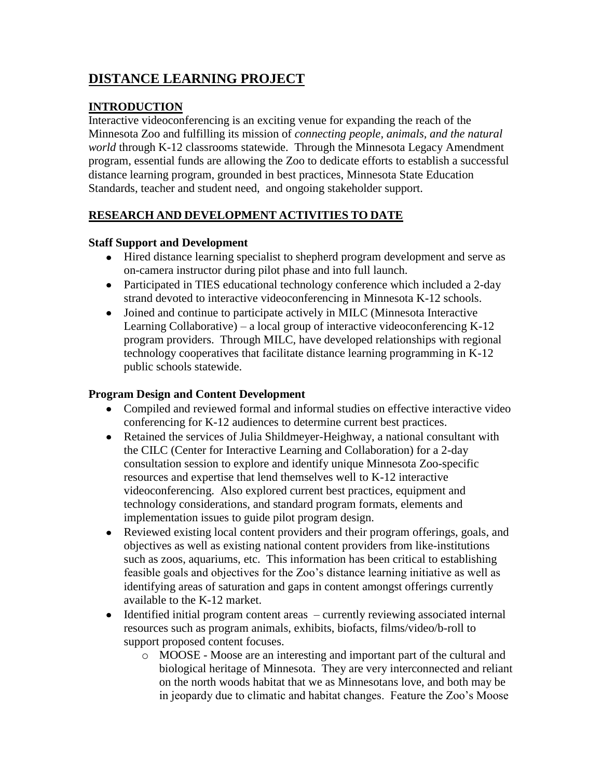# **DISTANCE LEARNING PROJECT**

# **INTRODUCTION**

Interactive videoconferencing is an exciting venue for expanding the reach of the Minnesota Zoo and fulfilling its mission of *connecting people, animals, and the natural world* through K-12 classrooms statewide. Through the Minnesota Legacy Amendment program, essential funds are allowing the Zoo to dedicate efforts to establish a successful distance learning program, grounded in best practices, Minnesota State Education Standards, teacher and student need, and ongoing stakeholder support.

# **RESEARCH AND DEVELOPMENT ACTIVITIES TO DATE**

### **Staff Support and Development**

- Hired distance learning specialist to shepherd program development and serve as on-camera instructor during pilot phase and into full launch.
- Participated in TIES educational technology conference which included a 2-day strand devoted to interactive videoconferencing in Minnesota K-12 schools.
- Joined and continue to participate actively in MILC (Minnesota Interactive Learning Collaborative) – a local group of interactive videoconferencing K-12 program providers. Through MILC, have developed relationships with regional technology cooperatives that facilitate distance learning programming in K-12 public schools statewide.

## **Program Design and Content Development**

- Compiled and reviewed formal and informal studies on effective interactive video conferencing for K-12 audiences to determine current best practices.
- Retained the services of Julia Shildmeyer-Heighway, a national consultant with the CILC (Center for Interactive Learning and Collaboration) for a 2-day consultation session to explore and identify unique Minnesota Zoo-specific resources and expertise that lend themselves well to K-12 interactive videoconferencing. Also explored current best practices, equipment and technology considerations, and standard program formats, elements and implementation issues to guide pilot program design.
- Reviewed existing local content providers and their program offerings, goals, and objectives as well as existing national content providers from like-institutions such as zoos, aquariums, etc. This information has been critical to establishing feasible goals and objectives for the Zoo's distance learning initiative as well as identifying areas of saturation and gaps in content amongst offerings currently available to the K-12 market.
- Identified initial program content areas currently reviewing associated internal resources such as program animals, exhibits, biofacts, films/video/b-roll to support proposed content focuses.
	- o MOOSE Moose are an interesting and important part of the cultural and biological heritage of Minnesota. They are very interconnected and reliant on the north woods habitat that we as Minnesotans love, and both may be in jeopardy due to climatic and habitat changes. Feature the Zoo's Moose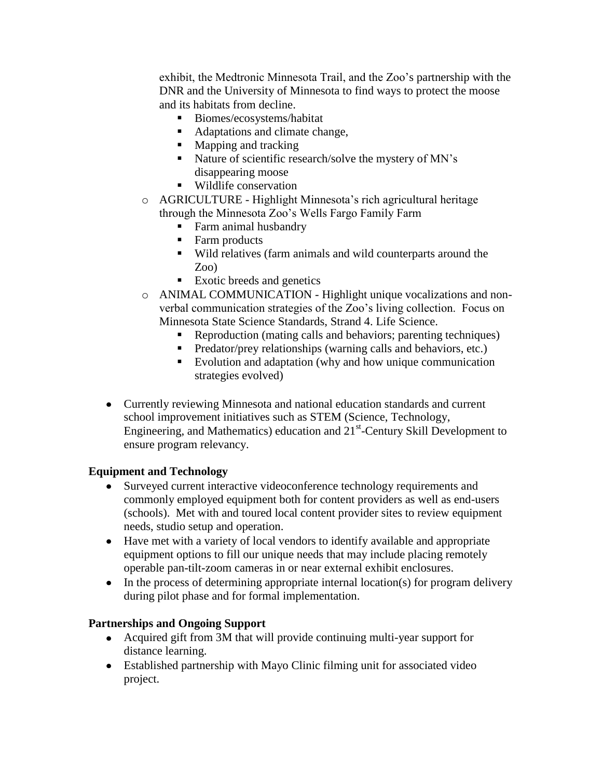exhibit, the Medtronic Minnesota Trail, and the Zoo's partnership with the DNR and the University of Minnesota to find ways to protect the moose and its habitats from decline.

- Biomes/ecosystems/habitat
- Adaptations and climate change,
- Mapping and tracking
- Nature of scientific research/solve the mystery of MN's disappearing moose
- Wildlife conservation
- o AGRICULTURE Highlight Minnesota's rich agricultural heritage through the Minnesota Zoo's Wells Fargo Family Farm
	- **Farm animal husbandry**
	- Farm products
	- Wild relatives (farm animals and wild counterparts around the Zoo)
	- Exotic breeds and genetics
- o ANIMAL COMMUNICATION Highlight unique vocalizations and nonverbal communication strategies of the Zoo's living collection. Focus on Minnesota State Science Standards, Strand 4. Life Science.
	- Reproduction (mating calls and behaviors; parenting techniques)
	- **Predator/prey relationships (warning calls and behaviors, etc.)**
	- Evolution and adaptation (why and how unique communication strategies evolved)
- Currently reviewing Minnesota and national education standards and current school improvement initiatives such as STEM (Science, Technology, Engineering, and Mathematics) education and  $21<sup>st</sup>$ -Century Skill Development to ensure program relevancy.

### **Equipment and Technology**

- Surveyed current interactive videoconference technology requirements and commonly employed equipment both for content providers as well as end-users (schools). Met with and toured local content provider sites to review equipment needs, studio setup and operation.
- Have met with a variety of local vendors to identify available and appropriate equipment options to fill our unique needs that may include placing remotely operable pan-tilt-zoom cameras in or near external exhibit enclosures.
- $\bullet$  In the process of determining appropriate internal location(s) for program delivery during pilot phase and for formal implementation.

# **Partnerships and Ongoing Support**

- Acquired gift from 3M that will provide continuing multi-year support for distance learning.
- Established partnership with Mayo Clinic filming unit for associated video project.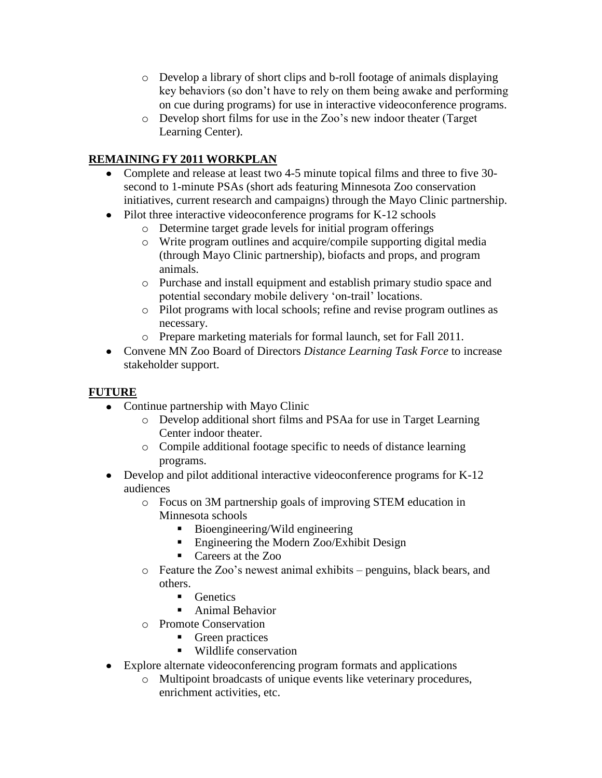- o Develop a library of short clips and b-roll footage of animals displaying key behaviors (so don't have to rely on them being awake and performing on cue during programs) for use in interactive videoconference programs.
- o Develop short films for use in the Zoo's new indoor theater (Target Learning Center).

# **REMAINING FY 2011 WORKPLAN**

- Complete and release at least two 4-5 minute topical films and three to five 30 second to 1-minute PSAs (short ads featuring Minnesota Zoo conservation initiatives, current research and campaigns) through the Mayo Clinic partnership.
- Pilot three interactive videoconference programs for K-12 schools
	- o Determine target grade levels for initial program offerings
	- o Write program outlines and acquire/compile supporting digital media (through Mayo Clinic partnership), biofacts and props, and program animals.
	- o Purchase and install equipment and establish primary studio space and potential secondary mobile delivery 'on-trail' locations.
	- o Pilot programs with local schools; refine and revise program outlines as necessary.
	- o Prepare marketing materials for formal launch, set for Fall 2011.
- Convene MN Zoo Board of Directors *Distance Learning Task Force* to increase stakeholder support.

# **FUTURE**

- Continue partnership with Mayo Clinic
	- o Develop additional short films and PSAa for use in Target Learning Center indoor theater.
	- o Compile additional footage specific to needs of distance learning programs.
- Develop and pilot additional interactive videoconference programs for K-12 audiences
	- o Focus on 3M partnership goals of improving STEM education in Minnesota schools
		- Bioengineering/Wild engineering
		- Engineering the Modern Zoo/Exhibit Design
		- Careers at the Zoo
	- o Feature the Zoo's newest animal exhibits penguins, black bears, and others.
		- **Genetics**
		- Animal Behavior
	- o Promote Conservation
		- **Green practices**
		- Wildlife conservation
- Explore alternate videoconferencing program formats and applications
	- o Multipoint broadcasts of unique events like veterinary procedures, enrichment activities, etc.